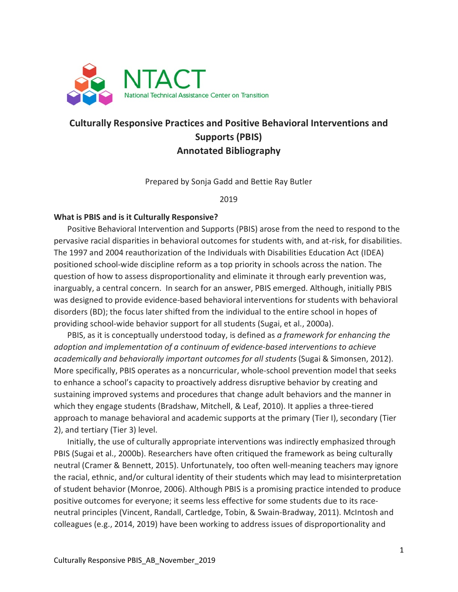

# **Culturally Responsive Practices and Positive Behavioral Interventions and Supports (PBIS) Annotated Bibliography**

Prepared by Sonja Gadd and Bettie Ray Butler

2019

#### **What is PBIS and is it Culturally Responsive?**

Positive Behavioral Intervention and Supports (PBIS) arose from the need to respond to the pervasive racial disparities in behavioral outcomes for students with, and at-risk, for disabilities. The 1997 and 2004 reauthorization of the Individuals with Disabilities Education Act (IDEA) positioned school-wide discipline reform as a top priority in schools across the nation. The question of how to assess disproportionality and eliminate it through early prevention was, inarguably, a central concern. In search for an answer, PBIS emerged. Although, initially PBIS was designed to provide evidence-based behavioral interventions for students with behavioral disorders (BD); the focus later shifted from the individual to the entire school in hopes of providing school-wide behavior support for all students (Sugai, et al., 2000a).

PBIS, as it is conceptually understood today, is defined as *a framework for enhancing the adoption and implementation of a continuum of evidence-based interventions to achieve academically and behaviorally important outcomes for all students* (Sugai & Simonsen, 2012). More specifically, PBIS operates as a noncurricular, whole-school prevention model that seeks to enhance a school's capacity to proactively address disruptive behavior by creating and sustaining improved systems and procedures that change adult behaviors and the manner in which they engage students (Bradshaw, Mitchell, & Leaf, 2010). It applies a three-tiered approach to manage behavioral and academic supports at the primary (Tier I), secondary (Tier 2), and tertiary (Tier 3) level.

Initially, the use of culturally appropriate interventions was indirectly emphasized through PBIS (Sugai et al., 2000b). Researchers have often critiqued the framework as being culturally neutral (Cramer & Bennett, 2015). Unfortunately, too often well-meaning teachers may ignore the racial, ethnic, and/or cultural identity of their students which may lead to misinterpretation of student behavior (Monroe, 2006). Although PBIS is a promising practice intended to produce positive outcomes for everyone; it seems less effective for some students due to its raceneutral principles (Vincent, Randall, Cartledge, Tobin, & Swain-Bradway, 2011). McIntosh and colleagues (e.g., 2014, 2019) have been working to address issues of disproportionality and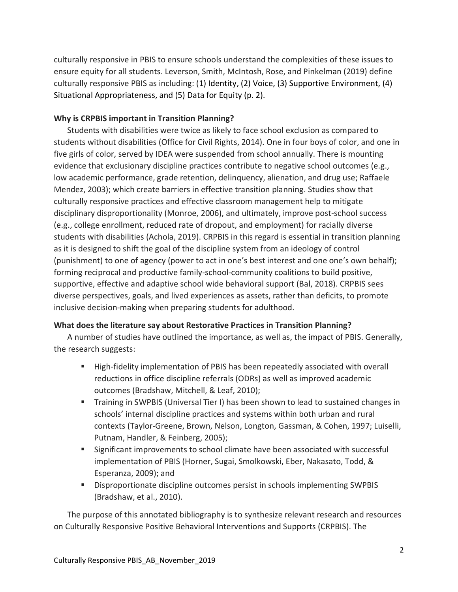culturally responsive in PBIS to ensure schools understand the complexities of these issues to ensure equity for all students. Leverson, Smith, McIntosh, Rose, and Pinkelman (2019) define culturally responsive PBIS as including: (1) Identity, (2) Voice, (3) Supportive Environment, (4) Situational Appropriateness, and (5) Data for Equity (p. 2).

#### **Why is CRPBIS important in Transition Planning?**

Students with disabilities were twice as likely to face school exclusion as compared to students without disabilities (Office for Civil Rights, 2014). One in four boys of color, and one in five girls of color, served by IDEA were suspended from school annually. There is mounting evidence that exclusionary discipline practices contribute to negative school outcomes (e.g., low academic performance, grade retention, delinquency, alienation, and drug use; Raffaele Mendez, 2003); which create barriers in effective transition planning. Studies show that culturally responsive practices and effective classroom management help to mitigate disciplinary disproportionality (Monroe, 2006), and ultimately, improve post-school success (e.g., college enrollment, reduced rate of dropout, and employment) for racially diverse students with disabilities (Achola, 2019). CRPBIS in this regard is essential in transition planning as it is designed to shift the goal of the discipline system from an ideology of control (punishment) to one of agency (power to act in one's best interest and one one's own behalf); forming reciprocal and productive family-school-community coalitions to build positive, supportive, effective and adaptive school wide behavioral support (Bal, 2018). CRPBIS sees diverse perspectives, goals, and lived experiences as assets, rather than deficits, to promote inclusive decision-making when preparing students for adulthood.

#### **What does the literature say about Restorative Practices in Transition Planning?**

A number of studies have outlined the importance, as well as, the impact of PBIS. Generally, the research suggests:

- **High-fidelity implementation of PBIS has been repeatedly associated with overall** reductions in office discipline referrals (ODRs) as well as improved academic outcomes (Bradshaw, Mitchell, & Leaf, 2010);
- **Training in SWPBIS (Universal Tier I) has been shown to lead to sustained changes in** schools' internal discipline practices and systems within both urban and rural contexts (Taylor-Greene, Brown, Nelson, Longton, Gassman, & Cohen, 1997; Luiselli, Putnam, Handler, & Feinberg, 2005);
- Significant improvements to school climate have been associated with successful implementation of PBIS (Horner, Sugai, Smolkowski, Eber, Nakasato, Todd, & Esperanza, 2009); and
- **Disproportionate discipline outcomes persist in schools implementing SWPBIS** (Bradshaw, et al., 2010).

The purpose of this annotated bibliography is to synthesize relevant research and resources on Culturally Responsive Positive Behavioral Interventions and Supports (CRPBIS). The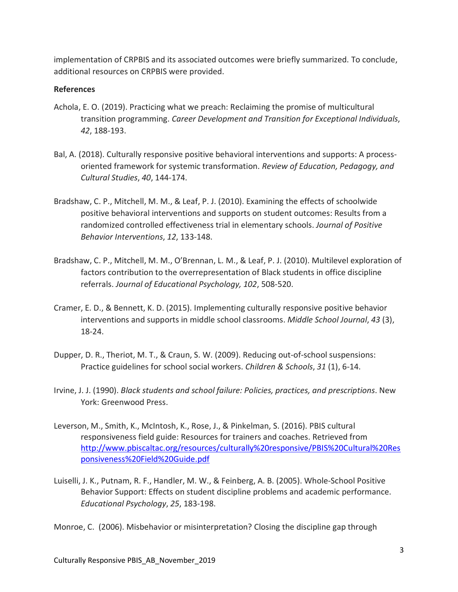implementation of CRPBIS and its associated outcomes were briefly summarized. To conclude, additional resources on CRPBIS were provided.

#### **References**

- Achola, E. O. (2019). Practicing what we preach: Reclaiming the promise of multicultural transition programming. *Career Development and Transition for Exceptional Individuals*, *42*, 188-193.
- Bal, A. (2018). Culturally responsive positive behavioral interventions and supports: A processoriented framework for systemic transformation. *Review of Education, Pedagogy, and Cultural Studies*, *40*, 144-174.
- Bradshaw, C. P., Mitchell, M. M., & Leaf, P. J. (2010). Examining the effects of schoolwide positive behavioral interventions and supports on student outcomes: Results from a randomized controlled effectiveness trial in elementary schools. *Journal of Positive Behavior Interventions*, *12*, 133-148.
- Bradshaw, C. P., Mitchell, M. M., O'Brennan, L. M., & Leaf, P. J. (2010). Multilevel exploration of factors contribution to the overrepresentation of Black students in office discipline referrals. *Journal of Educational Psychology, 102*, 508-520.
- Cramer, E. D., & Bennett, K. D. (2015). Implementing culturally responsive positive behavior interventions and supports in middle school classrooms. *Middle School Journal*, *43* (3), 18-24.
- Dupper, D. R., Theriot, M. T., & Craun, S. W. (2009). Reducing out-of-school suspensions: Practice guidelines for school social workers. *Children & Schools*, *31* (1), 6-14.
- Irvine, J. J. (1990). *Black students and school failure: Policies, practices, and prescriptions*. New York: Greenwood Press.
- Leverson, M., Smith, K., McIntosh, K., Rose, J., & Pinkelman, S. (2016). PBIS cultural responsiveness field guide: Resources for trainers and coaches. Retrieved from [http://www.pbiscaltac.org/resources/culturally%20responsive/PBIS%20Cultural%20Res](http://www.pbiscaltac.org/resources/culturally%20responsive/PBIS%20Cultural%20Responsiveness%20Field%20Guide.pdf) [ponsiveness%20Field%20Guide.pdf](http://www.pbiscaltac.org/resources/culturally%20responsive/PBIS%20Cultural%20Responsiveness%20Field%20Guide.pdf)
- Luiselli, J. K., Putnam, R. F., Handler, M. W., & Feinberg, A. B. (2005). Whole-School Positive Behavior Support: Effects on student discipline problems and academic performance. *Educational Psychology*, *25*, 183-198.

Monroe, C. (2006). Misbehavior or misinterpretation? Closing the discipline gap through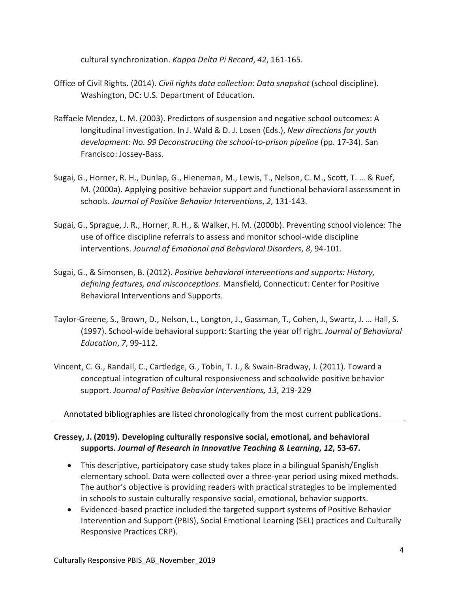cultural synchronization. *Kappa Delta Pi Record*, *42*, 161-165.

- Office of Civil Rights. (2014). *Civil rights data collection: Data snapshot* (school discipline). Washington, DC: U.S. Department of Education.
- Raffaele Mendez, L. M. (2003). Predictors of suspension and negative school outcomes: A longitudinal investigation. In J. Wald & D. J. Losen (Eds.), *New directions for youth development: No. 99 Deconstructing the school-to-prison pipeline* (pp. 17-34). San Francisco: Jossey-Bass.
- Sugai, G., Horner, R. H., Dunlap, G., Hieneman, M., Lewis, T., Nelson, C. M., Scott, T. … & Ruef, M. (2000a). Applying positive behavior support and functional behavioral assessment in schools. *Journal of Positive Behavior Interventions*, *2*, 131-143.
- Sugai, G., Sprague, J. R., Horner, R. H., & Walker, H. M. (2000b). Preventing school violence: The use of office discipline referrals to assess and monitor school-wide discipline interventions. *Journal of Emotional and Behavioral Disorders*, *8*, 94-101.
- Sugai, G., & Simonsen, B. (2012). *Positive behavioral interventions and supports: History, defining features, and misconceptions*. Mansfield, Connecticut: Center for Positive Behavioral Interventions and Supports.
- Taylor-Greene, S., Brown, D., Nelson, L., Longton, J., Gassman, T., Cohen, J., Swartz, J. … Hall, S. (1997). School-wide behavioral support: Starting the year off right. *Journal of Behavioral Education*, *7*, 99-112.
- Vincent, C. G., Randall, C., Cartledge, G., Tobin, T. J., & Swain-Bradway, J. (2011). Toward a conceptual integration of cultural responsiveness and schoolwide positive behavior support. *Journal of Positive Behavior Interventions, 13,* 219-229

#### Annotated bibliographies are listed chronologically from the most current publications.

#### **Cressey, J. (2019). Developing culturally responsive social, emotional, and behavioral supports.** *Journal of Research in Innovative Teaching & Learning***,** *12***, 53-67.**

- This descriptive, participatory case study takes place in a bilingual Spanish/English elementary school. Data were collected over a three-year period using mixed methods. The author's objective is providing readers with practical strategies to be implemented in schools to sustain culturally responsive social, emotional, behavior supports.
- Evidenced-based practice included the targeted support systems of Positive Behavior Intervention and Support (PBIS), Social Emotional Learning (SEL) practices and Culturally Responsive Practices CRP).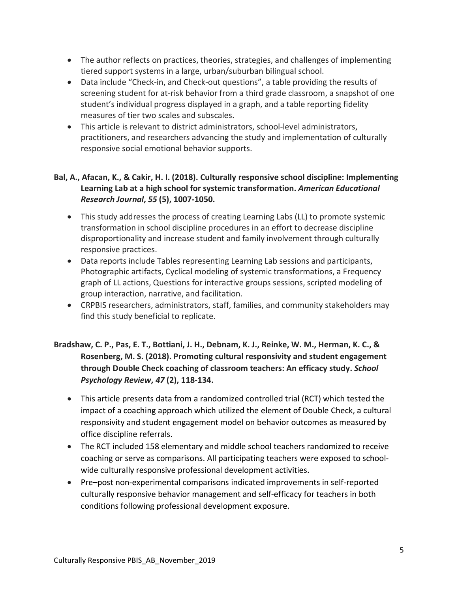- The author reflects on practices, theories, strategies, and challenges of implementing tiered support systems in a large, urban/suburban bilingual school.
- Data include "Check-in, and Check-out questions", a table providing the results of screening student for at-risk behavior from a third grade classroom, a snapshot of one student's individual progress displayed in a graph, and a table reporting fidelity measures of tier two scales and subscales.
- This article is relevant to district administrators, school-level administrators, practitioners, and researchers advancing the study and implementation of culturally responsive social emotional behavior supports.

### **Bal, A., Afacan, K., & Cakir, H. I. (2018). Culturally responsive school discipline: Implementing Learning Lab at a high school for systemic transformation.** *American Educational Research Journal***,** *55* **(5), 1007-1050.**

- This study addresses the process of creating Learning Labs (LL) to promote systemic transformation in school discipline procedures in an effort to decrease discipline disproportionality and increase student and family involvement through culturally responsive practices.
- Data reports include Tables representing Learning Lab sessions and participants, Photographic artifacts, Cyclical modeling of systemic transformations, a Frequency graph of LL actions, Questions for interactive groups sessions, scripted modeling of group interaction, narrative, and facilitation.
- CRPBIS researchers, administrators, staff, families, and community stakeholders may find this study beneficial to replicate.

# **Bradshaw, C. P., Pas, E. T., Bottiani, J. H., Debnam, K. J., Reinke, W. M., Herman, K. C., & Rosenberg, M. S. (2018). Promoting cultural responsivity and student engagement through Double Check coaching of classroom teachers: An efficacy study.** *School Psychology Review***,** *47* **(2), 118-134.**

- This article presents data from a randomized controlled trial (RCT) which tested the impact of a coaching approach which utilized the element of Double Check, a cultural responsivity and student engagement model on behavior outcomes as measured by office discipline referrals.
- The RCT included 158 elementary and middle school teachers randomized to receive coaching or serve as comparisons. All participating teachers were exposed to schoolwide culturally responsive professional development activities.
- Pre–post non-experimental comparisons indicated improvements in self-reported culturally responsive behavior management and self-efficacy for teachers in both conditions following professional development exposure.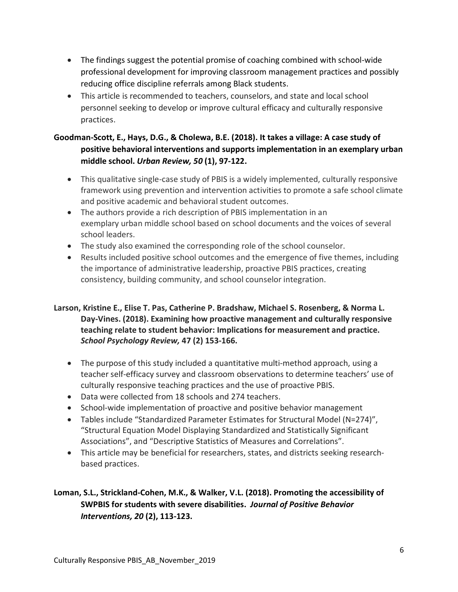- The findings suggest the potential promise of coaching combined with school-wide professional development for improving classroom management practices and possibly reducing office discipline referrals among Black students.
- This article is recommended to teachers, counselors, and state and local school personnel seeking to develop or improve cultural efficacy and culturally responsive practices.

# **Goodman-Scott, E., Hays, D.G., & Cholewa, B.E. (2018). It takes a village: A case study of positive behavioral interventions and supports implementation in an exemplary urban middle school.** *Urban Review, 50* **(1), 97-122.**

- This qualitative single-case study of PBIS is a widely implemented, culturally responsive framework using prevention and intervention activities to promote a safe school climate and positive academic and behavioral student outcomes.
- The authors provide a rich description of PBIS implementation in an exemplary urban middle school based on school documents and the voices of several school leaders.
- The study also examined the corresponding role of the school counselor.
- Results included positive school outcomes and the emergence of five themes, including the importance of administrative leadership, proactive PBIS practices, creating consistency, building community, and school counselor integration.

#### **Larson, Kristine E., Elise T. Pas, Catherine P. Bradshaw, Michael S. Rosenberg, & Norma L. Day-Vines. (2018). Examining how proactive management and culturally responsive teaching relate to student behavior: Implications for measurement and practice.**  *School Psychology Review,* **47 (2) 153-166.**

- The purpose of this study included a quantitative multi-method approach, using a teacher self-efficacy survey and classroom observations to determine teachers' use of culturally responsive teaching practices and the use of proactive PBIS.
- Data were collected from 18 schools and 274 teachers.
- School-wide implementation of proactive and positive behavior management
- Tables include "Standardized Parameter Estimates for Structural Model (N=274)", "Structural Equation Model Displaying Standardized and Statistically Significant Associations", and "Descriptive Statistics of Measures and Correlations".
- This article may be beneficial for researchers, states, and districts seeking researchbased practices.

# **Loman, S.L., Strickland-Cohen, M.K., & Walker, V.L. (2018). Promoting the accessibility of SWPBIS for students with severe disabilities.** *Journal of Positive Behavior Interventions, 20* **(2), 113-123.**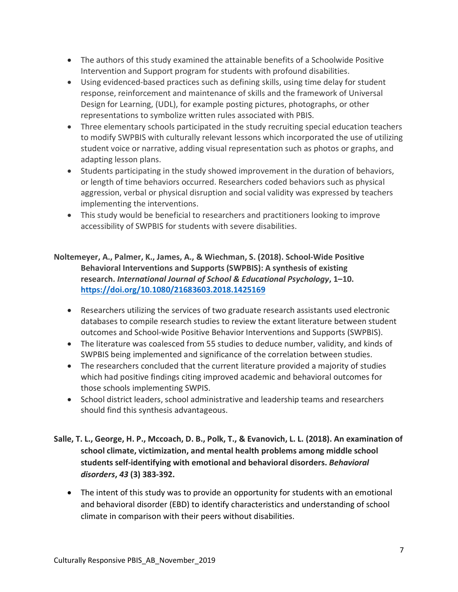- The authors of this study examined the attainable benefits of a Schoolwide Positive Intervention and Support program for students with profound disabilities.
- Using evidenced-based practices such as defining skills, using time delay for student response, reinforcement and maintenance of skills and the framework of Universal Design for Learning, (UDL), for example posting pictures, photographs, or other representations to symbolize written rules associated with PBIS.
- Three elementary schools participated in the study recruiting special education teachers to modify SWPBIS with culturally relevant lessons which incorporated the use of utilizing student voice or narrative, adding visual representation such as photos or graphs, and adapting lesson plans.
- Students participating in the study showed improvement in the duration of behaviors, or length of time behaviors occurred. Researchers coded behaviors such as physical aggression, verbal or physical disruption and social validity was expressed by teachers implementing the interventions.
- This study would be beneficial to researchers and practitioners looking to improve accessibility of SWPBIS for students with severe disabilities.

### **Noltemeyer, A., Palmer, K., James, A., & Wiechman, S. (2018). School-Wide Positive Behavioral Interventions and Supports (SWPBIS): A synthesis of existing research.** *International Journal of School & Educational Psychology***, 1–10. <https://doi.org/10.1080/21683603.2018.1425169>**

- Researchers utilizing the services of two graduate research assistants used electronic databases to compile research studies to review the extant literature between student outcomes and School-wide Positive Behavior Interventions and Supports (SWPBIS).
- The literature was coalesced from 55 studies to deduce number, validity, and kinds of SWPBIS being implemented and significance of the correlation between studies.
- The researchers concluded that the current literature provided a majority of studies which had positive findings citing improved academic and behavioral outcomes for those schools implementing SWPIS.
- School district leaders, school administrative and leadership teams and researchers should find this synthesis advantageous.

# **Salle, T. L., George, H. P., Mccoach, D. B., Polk, T., & Evanovich, L. L. (2018). An examination of school climate, victimization, and mental health problems among middle school students self-identifying with emotional and behavioral disorders.** *Behavioral disorders***,** *43* **(3) 383-392.**

• The intent of this study was to provide an opportunity for students with an emotional and behavioral disorder (EBD) to identify characteristics and understanding of school climate in comparison with their peers without disabilities.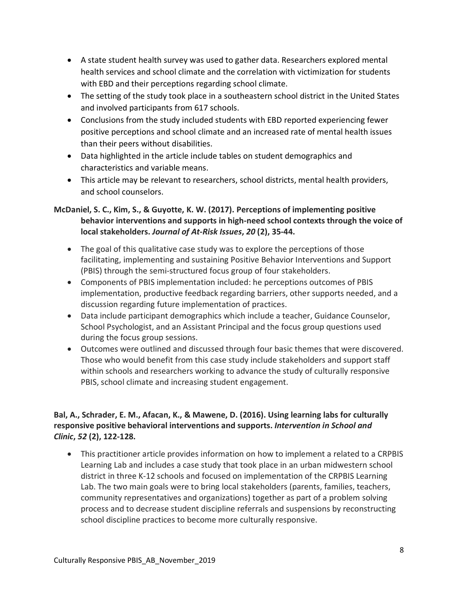- A state student health survey was used to gather data. Researchers explored mental health services and school climate and the correlation with victimization for students with EBD and their perceptions regarding school climate.
- The setting of the study took place in a southeastern school district in the United States and involved participants from 617 schools.
- Conclusions from the study included students with EBD reported experiencing fewer positive perceptions and school climate and an increased rate of mental health issues than their peers without disabilities.
- Data highlighted in the article include tables on student demographics and characteristics and variable means.
- This article may be relevant to researchers, school districts, mental health providers, and school counselors.

### **McDaniel, S. C., Kim, S., & Guyotte, K. W. (2017). Perceptions of implementing positive behavior interventions and supports in high-need school contexts through the voice of local stakeholders.** *Journal of At-Risk Issues***,** *20* **(2), 35-44.**

- The goal of this qualitative case study was to explore the perceptions of those facilitating, implementing and sustaining Positive Behavior Interventions and Support (PBIS) through the semi-structured focus group of four stakeholders.
- Components of PBIS implementation included: he perceptions outcomes of PBIS implementation, productive feedback regarding barriers, other supports needed, and a discussion regarding future implementation of practices.
- Data include participant demographics which include a teacher, Guidance Counselor, School Psychologist, and an Assistant Principal and the focus group questions used during the focus group sessions.
- Outcomes were outlined and discussed through four basic themes that were discovered. Those who would benefit from this case study include stakeholders and support staff within schools and researchers working to advance the study of culturally responsive PBIS, school climate and increasing student engagement.

### **Bal, A., Schrader, E. M., Afacan, K., & Mawene, D. (2016). Using learning labs for culturally responsive positive behavioral interventions and supports.** *Intervention in School and Clinic***,** *52* **(2), 122-128.**

• This practitioner article provides information on how to implement a related to a CRPBIS Learning Lab and includes a case study that took place in an urban midwestern school district in three K-12 schools and focused on implementation of the CRPBIS Learning Lab. The two main goals were to bring local stakeholders (parents, families, teachers, community representatives and organizations) together as part of a problem solving process and to decrease student discipline referrals and suspensions by reconstructing school discipline practices to become more culturally responsive.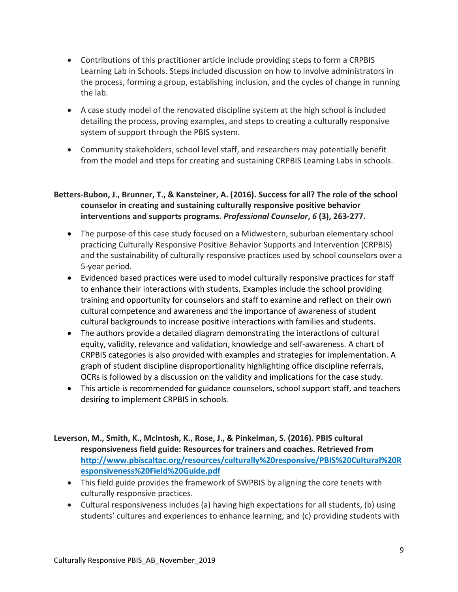- Contributions of this practitioner article include providing steps to form a CRPBIS Learning Lab in Schools. Steps included discussion on how to involve administrators in the process, forming a group, establishing inclusion, and the cycles of change in running the lab.
- A case study model of the renovated discipline system at the high school is included detailing the process, proving examples, and steps to creating a culturally responsive system of support through the PBIS system.
- Community stakeholders, school level staff, and researchers may potentially benefit from the model and steps for creating and sustaining CRPBIS Learning Labs in schools.

#### **Betters-Bubon, J., Brunner, T., & Kansteiner, A. (2016). Success for all? The role of the school counselor in creating and sustaining culturally responsive positive behavior interventions and supports programs.** *Professional Counselor***,** *6* **(3), 263-277.**

- The purpose of this case study focused on a Midwestern, suburban elementary school practicing Culturally Responsive Positive Behavior Supports and Intervention (CRPBIS) and the sustainability of culturally responsive practices used by school counselors over a 5-year period.
- Evidenced based practices were used to model culturally responsive practices for staff to enhance their interactions with students. Examples include the school providing training and opportunity for counselors and staff to examine and reflect on their own cultural competence and awareness and the importance of awareness of student cultural backgrounds to increase positive interactions with families and students.
- The authors provide a detailed diagram demonstrating the interactions of cultural equity, validity, relevance and validation, knowledge and self-awareness. A chart of CRPBIS categories is also provided with examples and strategies for implementation. A graph of student discipline disproportionality highlighting office discipline referrals, OCRs is followed by a discussion on the validity and implications for the case study.
- This article is recommended for guidance counselors, school support staff, and teachers desiring to implement CRPBIS in schools.
- **Leverson, M., Smith, K., McIntosh, K., Rose, J., & Pinkelman, S. (2016). PBIS cultural responsiveness field guide: Resources for trainers and coaches. Retrieved from [http://www.pbiscaltac.org/resources/culturally%20responsive/PBIS%20Cultural%20R](http://www.pbiscaltac.org/resources/culturally%20responsive/PBIS%20Cultural%20Responsiveness%20Field%20Guide.pdf) [esponsiveness%20Field%20Guide.pdf](http://www.pbiscaltac.org/resources/culturally%20responsive/PBIS%20Cultural%20Responsiveness%20Field%20Guide.pdf)**
	- This field guide provides the framework of SWPBIS by aligning the core tenets with culturally responsive practices.
	- Cultural responsiveness includes (a) having high expectations for all students, (b) using students' cultures and experiences to enhance learning, and (c) providing students with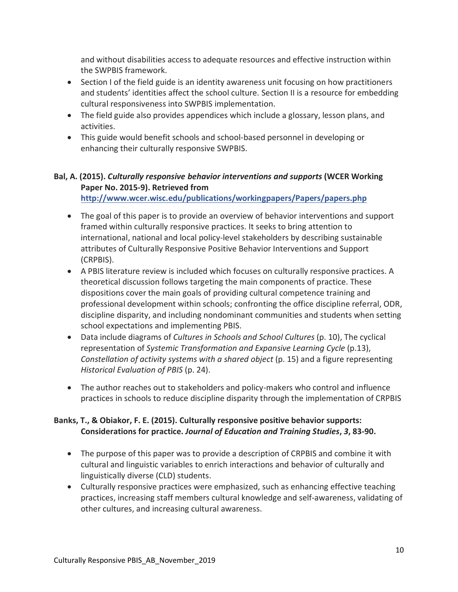and without disabilities access to adequate resources and effective instruction within the SWPBIS framework.

- Section I of the field guide is an identity awareness unit focusing on how practitioners and students' identities affect the school culture. Section II is a resource for embedding cultural responsiveness into SWPBIS implementation.
- The field guide also provides appendices which include a glossary, lesson plans, and activities.
- This guide would benefit schools and school-based personnel in developing or enhancing their culturally responsive SWPBIS.

# **Bal, A. (2015).** *Culturally responsive behavior interventions and supports* **(WCER Working Paper No. 2015-9). Retrieved from**

**<http://www.wcer.wisc.edu/publications/workingpapers/Papers/papers.php>**

- The goal of this paper is to provide an overview of behavior interventions and support framed within culturally responsive practices. It seeks to bring attention to international, national and local policy-level stakeholders by describing sustainable attributes of Culturally Responsive Positive Behavior Interventions and Support (CRPBIS).
- A PBIS literature review is included which focuses on culturally responsive practices. A theoretical discussion follows targeting the main components of practice. These dispositions cover the main goals of providing cultural competence training and professional development within schools; confronting the office discipline referral, ODR, discipline disparity, and including nondominant communities and students when setting school expectations and implementing PBIS.
- Data include diagrams of *Cultures in Schools and School Cultures* (p. 10), The cyclical representation of *Systemic Transformation and Expansive Learning Cycle* (p.13), *Constellation of activity systems with a shared object* (p. 15) and a figure representing *Historical Evaluation of PBIS* (p. 24).
- The author reaches out to stakeholders and policy-makers who control and influence practices in schools to reduce discipline disparity through the implementation of CRPBIS

#### **Banks, T., & Obiakor, F. E. (2015). Culturally responsive positive behavior supports: Considerations for practice.** *Journal of Education and Training Studies***,** *3***, 83-90.**

- The purpose of this paper was to provide a description of CRPBIS and combine it with cultural and linguistic variables to enrich interactions and behavior of culturally and linguistically diverse (CLD) students.
- Culturally responsive practices were emphasized, such as enhancing effective teaching practices, increasing staff members cultural knowledge and self-awareness, validating of other cultures, and increasing cultural awareness.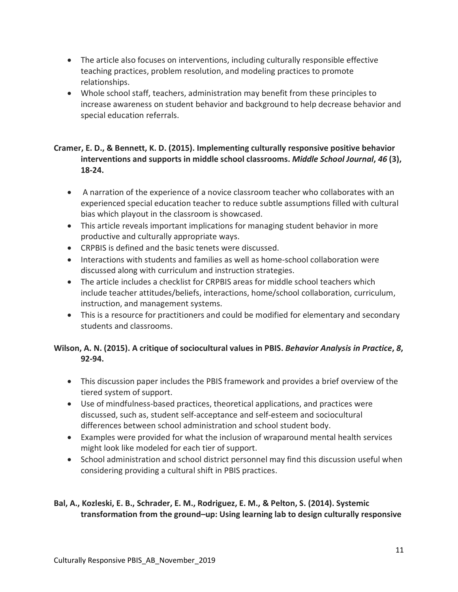- The article also focuses on interventions, including culturally responsible effective teaching practices, problem resolution, and modeling practices to promote relationships.
- Whole school staff, teachers, administration may benefit from these principles to increase awareness on student behavior and background to help decrease behavior and special education referrals.

## **Cramer, E. D., & Bennett, K. D. (2015). Implementing culturally responsive positive behavior interventions and supports in middle school classrooms.** *Middle School Journal***,** *46* **(3), 18-24.**

- A narration of the experience of a novice classroom teacher who collaborates with an experienced special education teacher to reduce subtle assumptions filled with cultural bias which playout in the classroom is showcased.
- This article reveals important implications for managing student behavior in more productive and culturally appropriate ways.
- CRPBIS is defined and the basic tenets were discussed.
- Interactions with students and families as well as home-school collaboration were discussed along with curriculum and instruction strategies.
- The article includes a checklist for CRPBIS areas for middle school teachers which include teacher attitudes/beliefs, interactions, home/school collaboration, curriculum, instruction, and management systems.
- This is a resource for practitioners and could be modified for elementary and secondary students and classrooms.

## **Wilson, A. N. (2015). A critique of sociocultural values in PBIS.** *Behavior Analysis in Practice***,** *8***, 92-94.**

- This discussion paper includes the PBIS framework and provides a brief overview of the tiered system of support.
- Use of mindfulness-based practices, theoretical applications, and practices were discussed, such as, student self-acceptance and self-esteem and sociocultural differences between school administration and school student body.
- Examples were provided for what the inclusion of wraparound mental health services might look like modeled for each tier of support.
- School administration and school district personnel may find this discussion useful when considering providing a cultural shift in PBIS practices.

## **Bal, A., Kozleski, E. B., Schrader, E. M., Rodriguez, E. M., & Pelton, S. (2014). Systemic transformation from the ground–up: Using learning lab to design culturally responsive**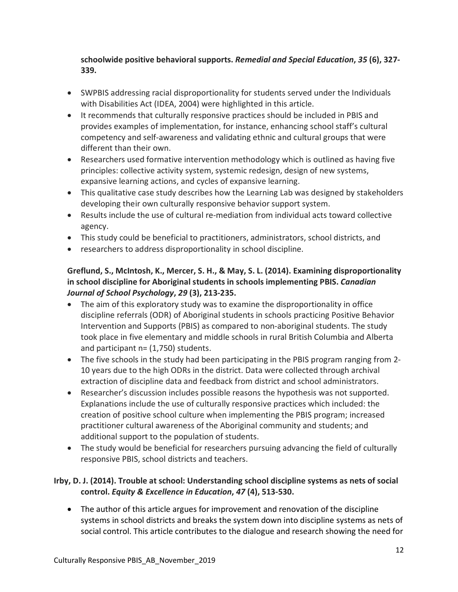**schoolwide positive behavioral supports.** *Remedial and Special Education***,** *35* **(6), 327- 339.**

- SWPBIS addressing racial disproportionality for students served under the Individuals with Disabilities Act (IDEA, 2004) were highlighted in this article.
- It recommends that culturally responsive practices should be included in PBIS and provides examples of implementation, for instance, enhancing school staff's cultural competency and self-awareness and validating ethnic and cultural groups that were different than their own.
- Researchers used formative intervention methodology which is outlined as having five principles: collective activity system, systemic redesign, design of new systems, expansive learning actions, and cycles of expansive learning.
- This qualitative case study describes how the Learning Lab was designed by stakeholders developing their own culturally responsive behavior support system.
- Results include the use of cultural re-mediation from individual acts toward collective agency.
- This study could be beneficial to practitioners, administrators, school districts, and
- researchers to address disproportionality in school discipline.

## **Greflund, S., McIntosh, K., Mercer, S. H., & May, S. L. (2014). Examining disproportionality in school discipline for Aboriginal students in schools implementing PBIS.** *Canadian Journal of School Psychology***,** *29* **(3), 213-235.**

- The aim of this exploratory study was to examine the disproportionality in office discipline referrals (ODR) of Aboriginal students in schools practicing Positive Behavior Intervention and Supports (PBIS) as compared to non-aboriginal students. The study took place in five elementary and middle schools in rural British Columbia and Alberta and participant  $n = (1,750)$  students.
- The five schools in the study had been participating in the PBIS program ranging from 2- 10 years due to the high ODRs in the district. Data were collected through archival extraction of discipline data and feedback from district and school administrators.
- Researcher's discussion includes possible reasons the hypothesis was not supported. Explanations include the use of culturally responsive practices which included: the creation of positive school culture when implementing the PBIS program; increased practitioner cultural awareness of the Aboriginal community and students; and additional support to the population of students.
- The study would be beneficial for researchers pursuing advancing the field of culturally responsive PBIS, school districts and teachers.

# **Irby, D. J. (2014). Trouble at school: Understanding school discipline systems as nets of social control.** *Equity & Excellence in Education***,** *47* **(4), 513-530.**

• The author of this article argues for improvement and renovation of the discipline systems in school districts and breaks the system down into discipline systems as nets of social control. This article contributes to the dialogue and research showing the need for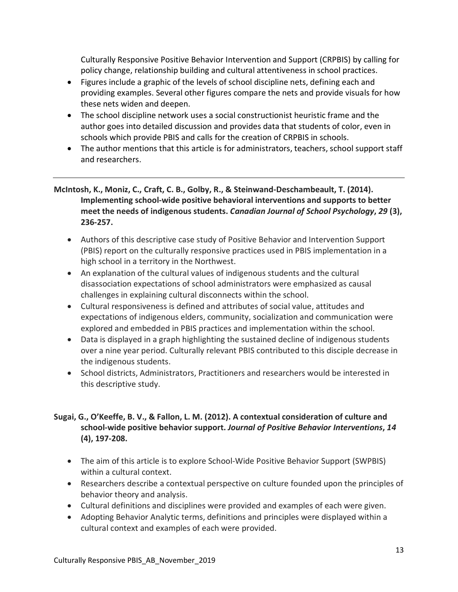Culturally Responsive Positive Behavior Intervention and Support (CRPBIS) by calling for policy change, relationship building and cultural attentiveness in school practices.

- Figures include a graphic of the levels of school discipline nets, defining each and providing examples. Several other figures compare the nets and provide visuals for how these nets widen and deepen.
- The school discipline network uses a social constructionist heuristic frame and the author goes into detailed discussion and provides data that students of color, even in schools which provide PBIS and calls for the creation of CRPBIS in schools.
- The author mentions that this article is for administrators, teachers, school support staff and researchers.

**McIntosh, K., Moniz, C., Craft, C. B., Golby, R., & Steinwand-Deschambeault, T. (2014). Implementing school-wide positive behavioral interventions and supports to better meet the needs of indigenous students.** *Canadian Journal of School Psychology***,** *29* **(3), 236-257.**

- Authors of this descriptive case study of Positive Behavior and Intervention Support (PBIS) report on the culturally responsive practices used in PBIS implementation in a high school in a territory in the Northwest.
- An explanation of the cultural values of indigenous students and the cultural disassociation expectations of school administrators were emphasized as causal challenges in explaining cultural disconnects within the school.
- Cultural responsiveness is defined and attributes of social value, attitudes and expectations of indigenous elders, community, socialization and communication were explored and embedded in PBIS practices and implementation within the school.
- Data is displayed in a graph highlighting the sustained decline of indigenous students over a nine year period. Culturally relevant PBIS contributed to this disciple decrease in the indigenous students.
- School districts, Administrators, Practitioners and researchers would be interested in this descriptive study.

## **Sugai, G., O'Keeffe, B. V., & Fallon, L. M. (2012). A contextual consideration of culture and school-wide positive behavior support.** *Journal of Positive Behavior Interventions***,** *14* **(4), 197-208.**

- The aim of this article is to explore School-Wide Positive Behavior Support (SWPBIS) within a cultural context.
- Researchers describe a contextual perspective on culture founded upon the principles of behavior theory and analysis.
- Cultural definitions and disciplines were provided and examples of each were given.
- Adopting Behavior Analytic terms, definitions and principles were displayed within a cultural context and examples of each were provided.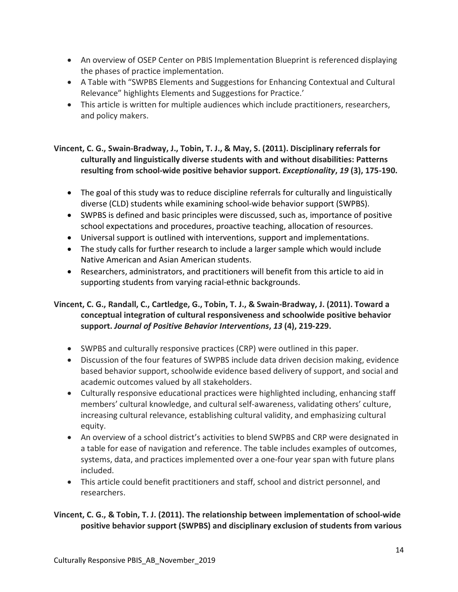- An overview of OSEP Center on PBIS Implementation Blueprint is referenced displaying the phases of practice implementation.
- A Table with "SWPBS Elements and Suggestions for Enhancing Contextual and Cultural Relevance" highlights Elements and Suggestions for Practice.'
- This article is written for multiple audiences which include practitioners, researchers, and policy makers.

#### **Vincent, C. G., Swain-Bradway, J., Tobin, T. J., & May, S. (2011). Disciplinary referrals for culturally and linguistically diverse students with and without disabilities: Patterns resulting from school-wide positive behavior support.** *Exceptionality***,** *19* **(3), 175-190.**

- The goal of this study was to reduce discipline referrals for culturally and linguistically diverse (CLD) students while examining school-wide behavior support (SWPBS).
- SWPBS is defined and basic principles were discussed, such as, importance of positive school expectations and procedures, proactive teaching, allocation of resources.
- Universal support is outlined with interventions, support and implementations.
- The study calls for further research to include a larger sample which would include Native American and Asian American students.
- Researchers, administrators, and practitioners will benefit from this article to aid in supporting students from varying racial-ethnic backgrounds.

### **Vincent, C. G., Randall, C., Cartledge, G., Tobin, T. J., & Swain-Bradway, J. (2011). Toward a conceptual integration of cultural responsiveness and schoolwide positive behavior support.** *Journal of Positive Behavior Interventions***,** *13* **(4), 219-229.**

- SWPBS and culturally responsive practices (CRP) were outlined in this paper.
- Discussion of the four features of SWPBS include data driven decision making, evidence based behavior support, schoolwide evidence based delivery of support, and social and academic outcomes valued by all stakeholders.
- Culturally responsive educational practices were highlighted including, enhancing staff members' cultural knowledge, and cultural self-awareness, validating others' culture, increasing cultural relevance, establishing cultural validity, and emphasizing cultural equity.
- An overview of a school district's activities to blend SWPBS and CRP were designated in a table for ease of navigation and reference. The table includes examples of outcomes, systems, data, and practices implemented over a one-four year span with future plans included.
- This article could benefit practitioners and staff, school and district personnel, and researchers.

## **Vincent, C. G., & Tobin, T. J. (2011). The relationship between implementation of school-wide positive behavior support (SWPBS) and disciplinary exclusion of students from various**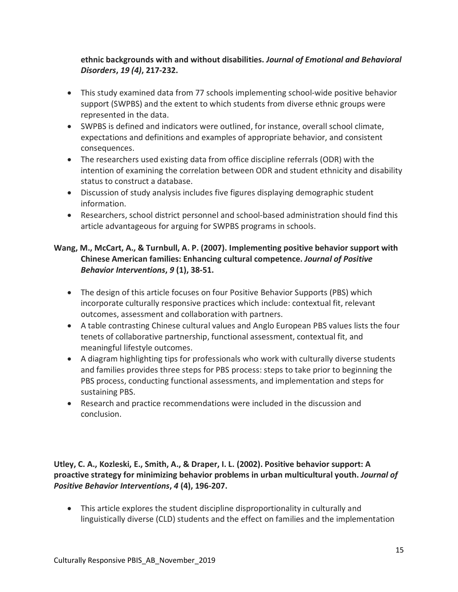### **ethnic backgrounds with and without disabilities.** *Journal of Emotional and Behavioral Disorders***,** *19 (4)***, 217-232.**

- This study examined data from 77 schools implementing school-wide positive behavior support (SWPBS) and the extent to which students from diverse ethnic groups were represented in the data.
- SWPBS is defined and indicators were outlined, for instance, overall school climate, expectations and definitions and examples of appropriate behavior, and consistent consequences.
- The researchers used existing data from office discipline referrals (ODR) with the intention of examining the correlation between ODR and student ethnicity and disability status to construct a database.
- Discussion of study analysis includes five figures displaying demographic student information.
- Researchers, school district personnel and school-based administration should find this article advantageous for arguing for SWPBS programs in schools.

### **Wang, M., McCart, A., & Turnbull, A. P. (2007). Implementing positive behavior support with Chinese American families: Enhancing cultural competence.** *Journal of Positive Behavior Interventions***,** *9* **(1), 38-51.**

- The design of this article focuses on four Positive Behavior Supports (PBS) which incorporate culturally responsive practices which include: contextual fit, relevant outcomes, assessment and collaboration with partners.
- A table contrasting Chinese cultural values and Anglo European PBS values lists the four tenets of collaborative partnership, functional assessment, contextual fit, and meaningful lifestyle outcomes.
- A diagram highlighting tips for professionals who work with culturally diverse students and families provides three steps for PBS process: steps to take prior to beginning the PBS process, conducting functional assessments, and implementation and steps for sustaining PBS.
- Research and practice recommendations were included in the discussion and conclusion.

**Utley, C. A., Kozleski, E., Smith, A., & Draper, I. L. (2002). Positive behavior support: A proactive strategy for minimizing behavior problems in urban multicultural youth.** *Journal of Positive Behavior Interventions***,** *4* **(4), 196-207.**

• This article explores the student discipline disproportionality in culturally and linguistically diverse (CLD) students and the effect on families and the implementation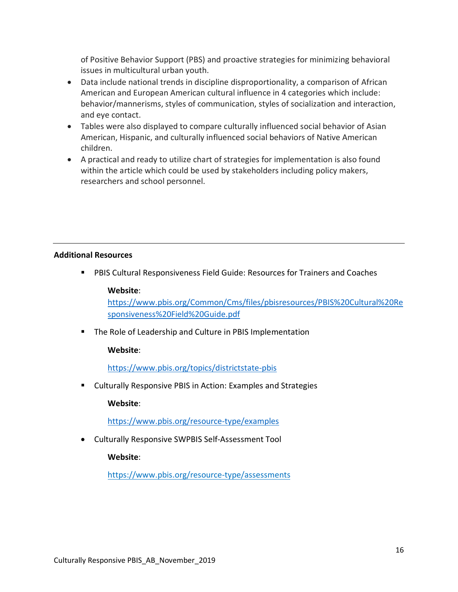of Positive Behavior Support (PBS) and proactive strategies for minimizing behavioral issues in multicultural urban youth.

- Data include national trends in discipline disproportionality, a comparison of African American and European American cultural influence in 4 categories which include: behavior/mannerisms, styles of communication, styles of socialization and interaction, and eye contact.
- Tables were also displayed to compare culturally influenced social behavior of Asian American, Hispanic, and culturally influenced social behaviors of Native American children.
- A practical and ready to utilize chart of strategies for implementation is also found within the article which could be used by stakeholders including policy makers, researchers and school personnel.

#### **Additional Resources**

PBIS Cultural Responsiveness Field Guide: Resources for Trainers and Coaches

#### **Website**:

[https://www.pbis.org/Common/Cms/files/pbisresources/PBIS%20Cultural%20Re](https://www.pbis.org/Common/Cms/files/pbisresources/PBIS%20Cultural%20Responsiveness%20Field%20Guide.pdf) [sponsiveness%20Field%20Guide.pdf](https://www.pbis.org/Common/Cms/files/pbisresources/PBIS%20Cultural%20Responsiveness%20Field%20Guide.pdf)

**The Role of Leadership and Culture in PBIS Implementation** 

#### **Website**:

<https://www.pbis.org/topics/districtstate-pbis>

Culturally Responsive PBIS in Action: Examples and Strategies

#### **Website**:

<https://www.pbis.org/resource-type/examples>

• Culturally Responsive SWPBIS Self-Assessment Tool

**Website**:

<https://www.pbis.org/resource-type/assessments>